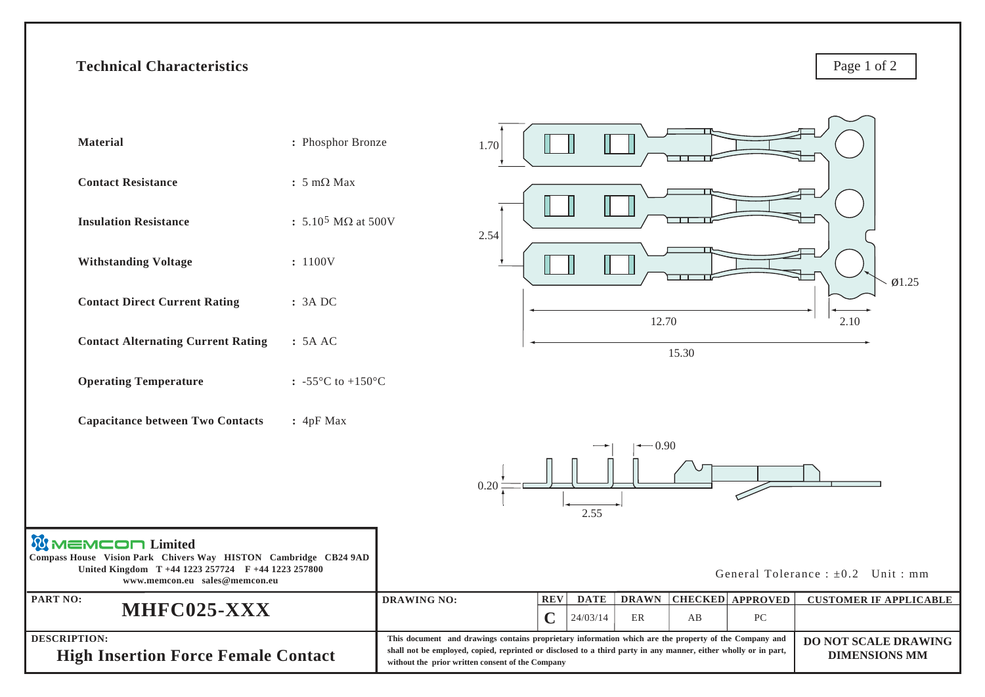## **Technical Characteristics**

Page 1 of 2